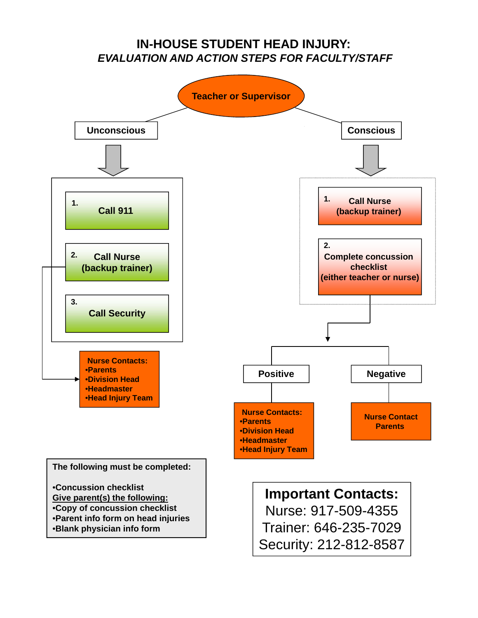### **IN-HOUSE STUDENT HEAD INJURY:** *EVALUATION AND ACTION STEPS FOR FACULTY/STAFF*

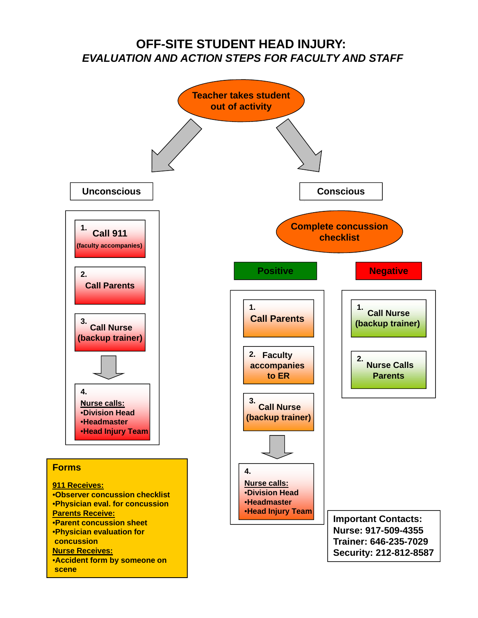### **OFF-SITE STUDENT HEAD INJURY:** *EVALUATION AND ACTION STEPS FOR FACULTY AND STAFF*

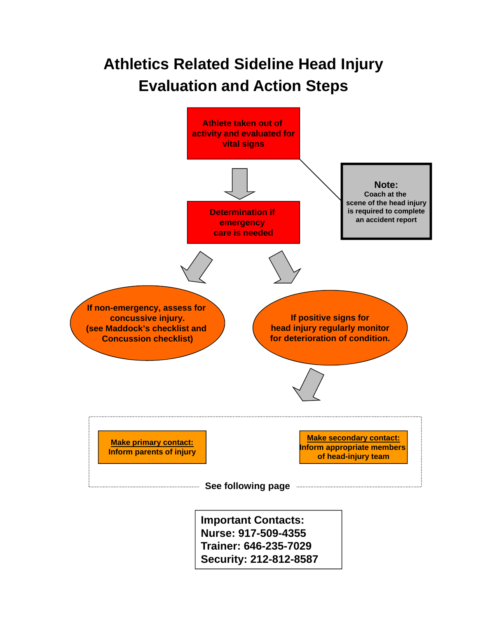# **Athletics Related Sideline Head Injury Evaluation and Action Steps**

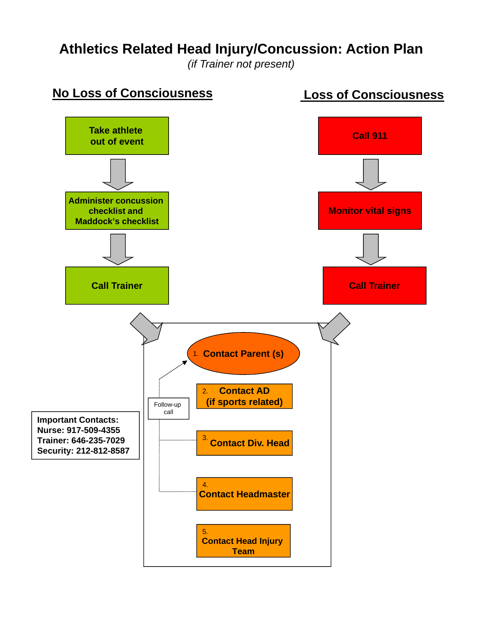# **Athletics Related Head Injury/Concussion: Action Plan**

*(if Trainer not present)*

## **No Loss of Consciousness Loss of Consciousness**